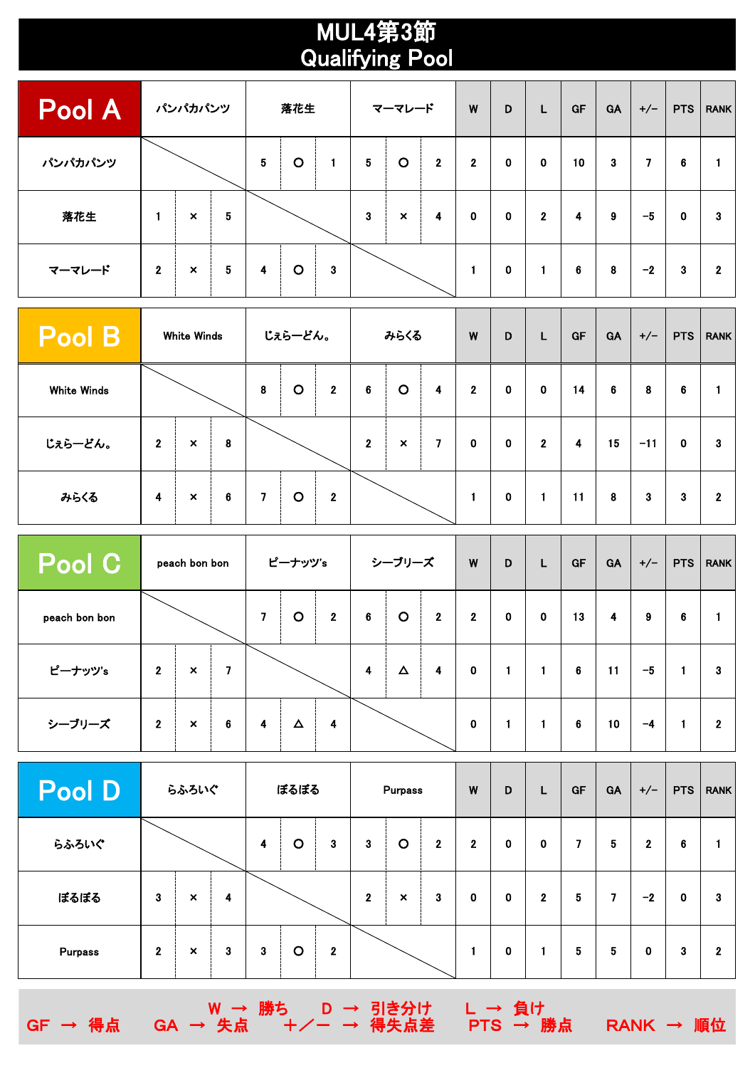## MUL4第3節 Qualifying Pool

| <b>Pool A</b> | パンパカパンツ      |                           |   |                 | 落花生     |   | マーマレード          |                |              | W            | D           | L            | GF | GA | $+/-$ | <b>PTS</b>  | <b>RANK</b>  |
|---------------|--------------|---------------------------|---|-----------------|---------|---|-----------------|----------------|--------------|--------------|-------------|--------------|----|----|-------|-------------|--------------|
| パンパカパンツ       |              |                           |   | $5\phantom{.0}$ | $\circ$ | 1 | $5\phantom{.0}$ | $\circ$        | $\mathbf{2}$ | $\mathbf{2}$ | $\mathbf 0$ | $\mathbf 0$  | 10 | 3  | 7     | 6           |              |
| 落花生           | 1            | $\pmb{\times}$            | 5 |                 |         |   | 3               | $\pmb{\times}$ | 4            | $\mathbf 0$  | $\mathbf 0$ | $\mathbf{2}$ | 4  | 9  | $-5$  | $\mathbf 0$ | 3            |
| マーマレード        | $\mathbf{2}$ | $\boldsymbol{\mathsf{x}}$ | 5 | 4               | $\circ$ | 3 |                 |                |              | 1            | 0           | $\mathbf{1}$ | 6  | 8  | $-2$  | 3           | $\mathbf{2}$ |

| $\sf{Pool}\,B$     | White Winds      |                |   |   | じぇらーどん。 |                | みらくる             |                           |                | W            | D | L              | GF | <b>GA</b> | $+/-$ | <b>PTS</b> | <b>RANK</b>    |
|--------------------|------------------|----------------|---|---|---------|----------------|------------------|---------------------------|----------------|--------------|---|----------------|----|-----------|-------|------------|----------------|
| <b>White Winds</b> |                  |                |   | 8 | $\circ$ | $\mathbf{2}$   | 6                | $\circ$                   | 4              | $\mathbf{2}$ | 0 | $\mathbf 0$    | 14 | 6         | 8     | 6          |                |
| じぇらーどん。            | $\boldsymbol{2}$ | $\pmb{\times}$ | 8 |   |         |                | $\boldsymbol{2}$ | $\boldsymbol{\mathsf{x}}$ | $\overline{7}$ | 0            | 0 | $\overline{2}$ | 4  | 15        | $-11$ | 0          | 3              |
| みらくる               | 4                | $\pmb{\times}$ | 6 | 7 | $\circ$ | $\overline{2}$ |                  |                           |                | 1            | 0 |                | 11 | 8         | 3     | 3          | $\overline{2}$ |

| Pool C        | peach bon bon           |                           |   |                          | ピーナッツ's |                | シーブリーズ                  |          |              | W            | D           | L           | GF | GA | $+/-$ | <b>PTS</b> | <b>RANK</b>    |
|---------------|-------------------------|---------------------------|---|--------------------------|---------|----------------|-------------------------|----------|--------------|--------------|-------------|-------------|----|----|-------|------------|----------------|
| peach bon bon |                         |                           |   | $\overline{\phantom{a}}$ | $\circ$ | $\overline{2}$ | 6                       | $\circ$  | $\mathbf{2}$ | $\mathbf{2}$ | $\mathbf 0$ | $\mathbf 0$ | 13 | 4  | 9     | 6          |                |
| ピーナッツ's       | $\mathbf{2}$            | $\boldsymbol{\mathsf{x}}$ | 7 |                          |         |                | $\overline{\mathbf{4}}$ | $\Delta$ | 4            | $\mathbf 0$  |             |             | 6  | 11 | $-5$  | 1          | 3              |
| シーブリーズ        | $\overline{\mathbf{2}}$ | $\pmb{\times}$            | 6 | 4                        | Δ       | 4              |                         |          |              | $\mathbf 0$  |             |             | 6  | 10 | -4    |            | $\overline{2}$ |

| <b>Pool D</b> | らふろいぐ          |                           |   |   | ぼるぼる    |              |                  | Purpass                   |                | W            | D | L            | GF | <b>GA</b> | $+/-$        | <b>PTS</b>  | <b>RANK</b> |
|---------------|----------------|---------------------------|---|---|---------|--------------|------------------|---------------------------|----------------|--------------|---|--------------|----|-----------|--------------|-------------|-------------|
| らふろいぐ         |                |                           |   | 4 | $\circ$ | $\mathbf{3}$ | 3                | $\circ$                   | $\overline{2}$ | $\mathbf{2}$ | 0 | 0            | 7  | 5         | $\mathbf{2}$ | 6           |             |
| ぼるぼる          | 3              | ×                         | 4 |   |         |              | $\boldsymbol{2}$ | $\boldsymbol{\mathsf{x}}$ | 3              | 0            | 0 | $\mathbf{2}$ | 5  | 7         | $-2$         | $\mathbf 0$ | 3           |
| Purpass       | $\overline{2}$ | $\boldsymbol{\mathsf{x}}$ | 3 | 3 | $\circ$ | $\mathbf{2}$ |                  |                           |                |              | 0 |              | 5  | 5         | 0            | 3           | $\mathbf 2$ |

W → 勝ち D → 引き分け L → 負け

GF → 得点 GA → 失点 +/- → 得失点差 PTS → 勝点 RANK → 順位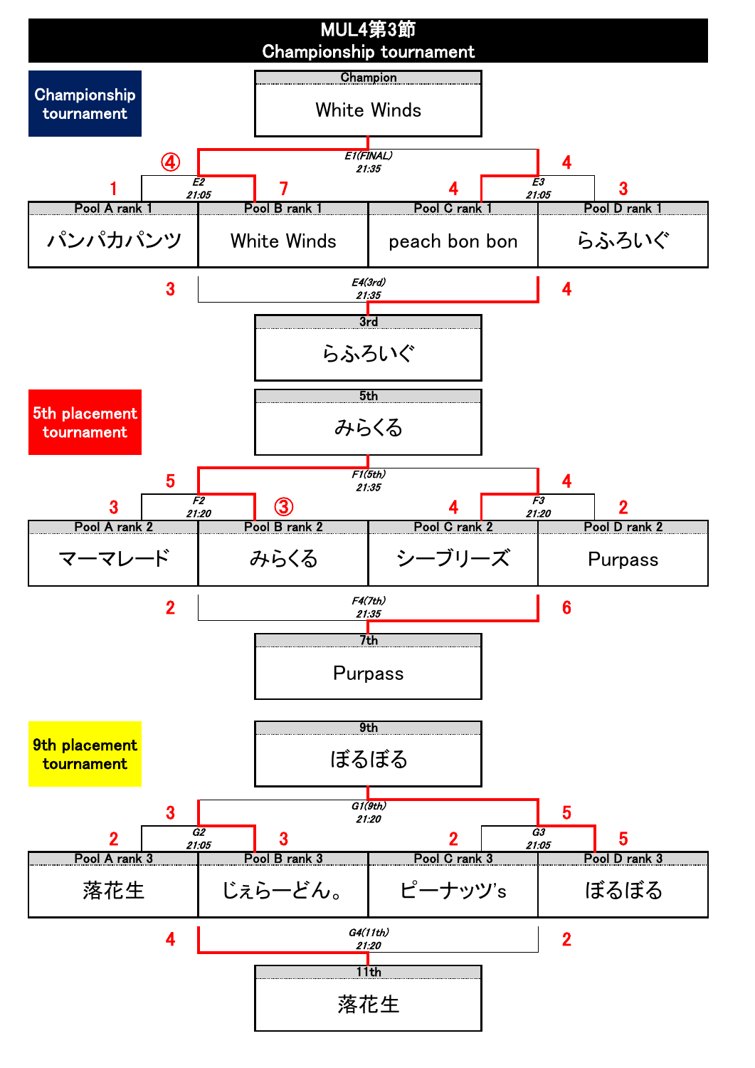